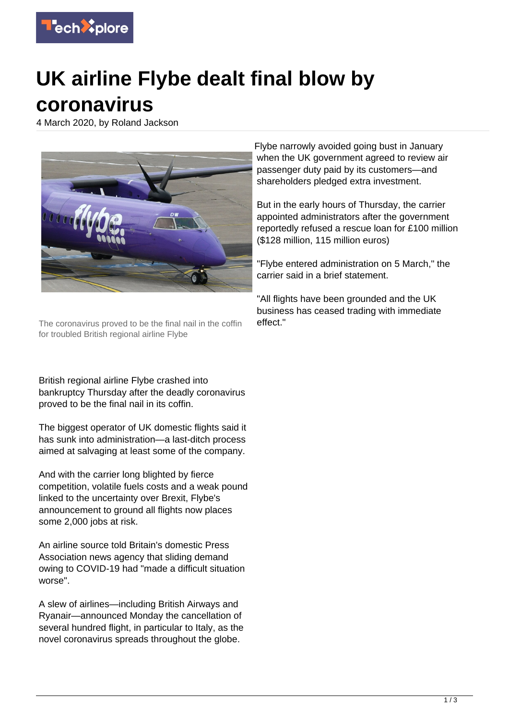

# **UK airline Flybe dealt final blow by coronavirus**

4 March 2020, by Roland Jackson



The coronavirus proved to be the final nail in the coffin for troubled British regional airline Flybe

British regional airline Flybe crashed into bankruptcy Thursday after the deadly coronavirus proved to be the final nail in its coffin.

The biggest operator of UK domestic flights said it has sunk into administration—a last-ditch process aimed at salvaging at least some of the company.

And with the carrier long blighted by fierce competition, volatile fuels costs and a weak pound linked to the uncertainty over Brexit, Flybe's announcement to ground all flights now places some 2,000 jobs at risk.

An airline source told Britain's domestic Press Association news agency that sliding demand owing to COVID-19 had "made a difficult situation worse".

A slew of airlines—including British Airways and Ryanair—announced Monday the cancellation of several hundred flight, in particular to Italy, as the novel coronavirus spreads throughout the globe.

Flybe narrowly avoided going bust in January when the UK government agreed to review air passenger duty paid by its customers—and shareholders pledged extra investment.

But in the early hours of Thursday, the carrier appointed administrators after the government reportedly refused a rescue loan for £100 million (\$128 million, 115 million euros)

"Flybe entered administration on 5 March," the carrier said in a brief statement.

"All flights have been grounded and the UK business has ceased trading with immediate effect."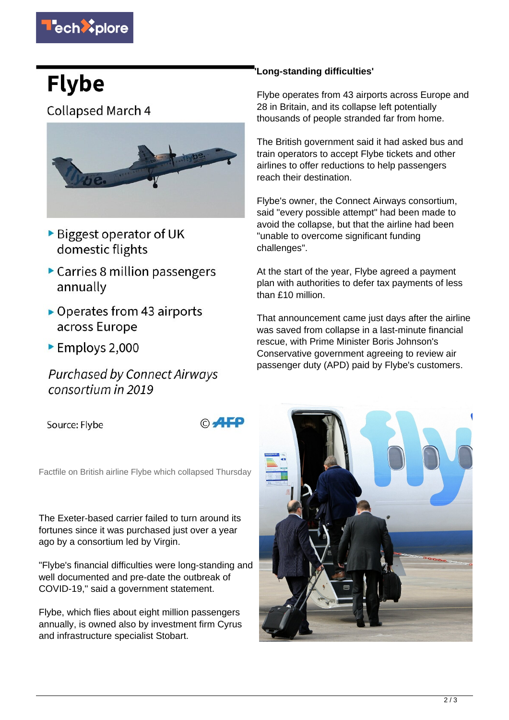

# **Flybe**

**Collapsed March 4** 



- ▶ Biggest operator of UK domestic flights
- Carries 8 million passengers annually
- $\triangleright$  Operates from 43 airports across Europe
- Employs 2,000

**Purchased by Connect Airways** consortium in 2019

Source: Flybe

© AFP

Factfile on British airline Flybe which collapsed Thursday

The Exeter-based carrier failed to turn around its fortunes since it was purchased just over a year ago by a consortium led by Virgin.

"Flybe's financial difficulties were long-standing and well documented and pre-date the outbreak of COVID-19," said a government statement.

Flybe, which flies about eight million passengers annually, is owned also by investment firm Cyrus and infrastructure specialist Stobart.

## **'Long-standing difficulties'**

Flybe operates from 43 airports across Europe and 28 in Britain, and its collapse left potentially thousands of people stranded far from home.

The British government said it had asked bus and train operators to accept Flybe tickets and other airlines to offer reductions to help passengers reach their destination.

Flybe's owner, the Connect Airways consortium, said "every possible attempt" had been made to avoid the collapse, but that the airline had been "unable to overcome significant funding challenges".

At the start of the year, Flybe agreed a payment plan with authorities to defer tax payments of less than £10 million.

That announcement came just days after the airline was saved from collapse in a last-minute financial rescue, with Prime Minister Boris Johnson's Conservative government agreeing to review air passenger duty (APD) paid by Flybe's customers.